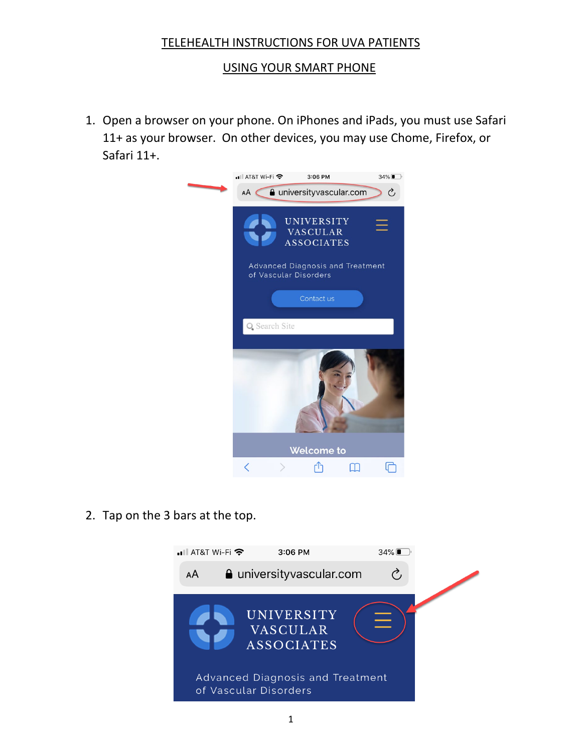## TELEHEALTH INSTRUCTIONS FOR UVA PATIENTS

## USING YOUR SMART PHONE

1. Open a browser on your phone. On iPhones and iPads, you must use Safari 11+ as your browser. On other devices, you may use Chome, Firefox, or Safari 11+.



2. Tap on the 3 bars at the top.

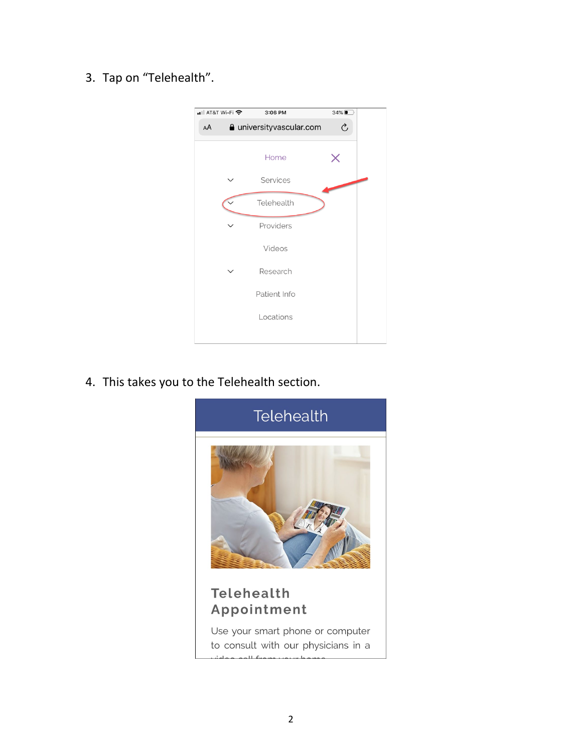## 3. Tap on "Telehealth".



4. This takes you to the Telehealth section.

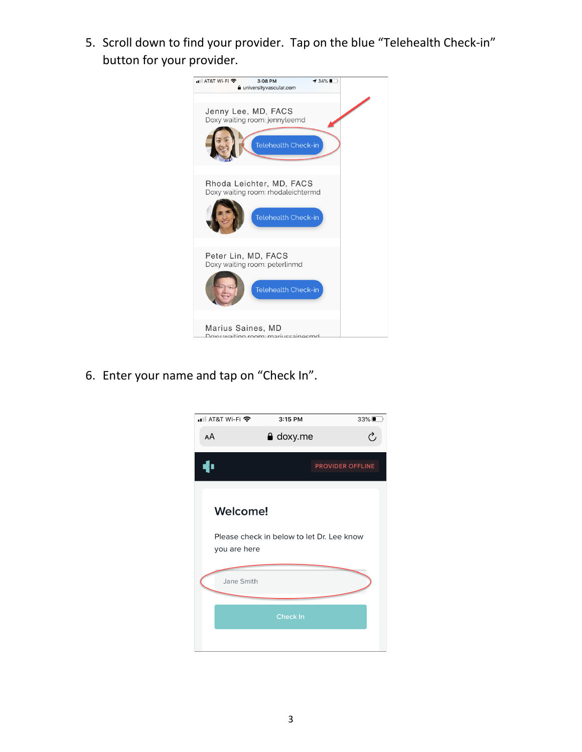5. Scroll down to find your provider. Tap on the blue "Telehealth Check-in" button for your provider.



6. Enter your name and tap on "Check In".

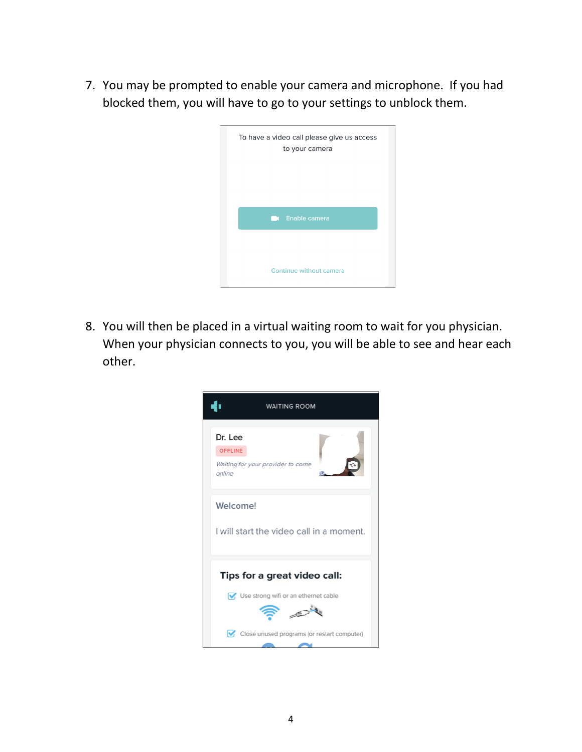7. You may be prompted to enable your camera and microphone. If you had blocked them, you will have to go to your settings to unblock them.

| To have a video call please give us access<br>to your camera |
|--------------------------------------------------------------|
| <b>Communisment</b> Enable camera                            |
|                                                              |
| Continue without camera                                      |

8. You will then be placed in a virtual waiting room to wait for you physician. When your physician connects to you, you will be able to see and hear each other.